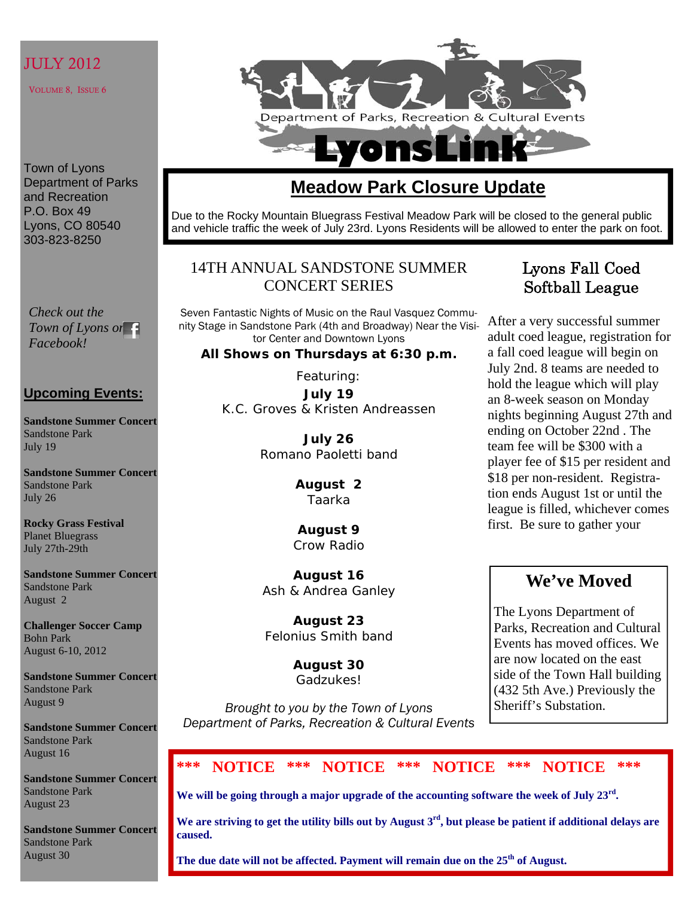# JULY 2012

VOLUME 8, ISSUE 6

Town of Lyons Department of Parks and Recreation P.O. Box 49 Lyons, CO 80540 303-823-8250

*Check out the Town of Lyons on Facebook!* 

## **Upcoming Events:**

**Sandstone Summer Concert**  Sandstone Park July 19

**Sandstone Summer Concert**  Sandstone Park July 26

**Rocky Grass Festival**  Planet Bluegrass July 27th-29th

**Sandstone Summer Concert**  Sandstone Park August 2

**Challenger Soccer Camp**  Bohn Park August 6-10, 2012

**Sandstone Summer Concert**  Sandstone Park August 9

**Sandstone Summer Concert**  Sandstone Park August 16

**Sandstone Summer Concert**  Sandstone Park August 23

**Sandstone Summer Concert**  Sandstone Park August 30



# **Meadow Park Closure Update**

Due to the Rocky Mountain Bluegrass Festival Meadow Park will be closed to the general public and vehicle traffic the week of July 23rd. Lyons Residents will be allowed to enter the park on foot.

# 14TH ANNUAL SANDSTONE SUMMER CONCERT SERIES

Seven Fantastic Nights of Music on the Raul Vasquez Community Stage in Sandstone Park (4th and Broadway) Near the Visitor Center and Downtown Lyons

### **All Shows on Thursdays at 6:30 p.m.**

Featuring: **July 19**  K.C. Groves & Kristen Andreassen

> **July 26**  Romano Paoletti band

> > **August 2**  Taarka

**August 9**  Crow Radio

**August 16**  Ash & Andrea Ganley

**August 23**  Felonius Smith band

> **August 30**  Gadzukes!

*Brought to you by the Town of Lyons Department of Parks, Recreation & Cultural Events* 

# Lyons Fall Coed Softball League

After a very successful summer adult coed league, registration for a fall coed league will begin on July 2nd. 8 teams are needed to hold the league which will play an 8-week season on Monday nights beginning August 27th and ending on October 22nd . The team fee will be \$300 with a player fee of \$15 per resident and \$18 per non-resident. Registration ends August 1st or until the league is filled, whichever comes first. Be sure to gather your

# **We've Moved**

The Lyons Department of Parks, Recreation and Cultural Events has moved offices. We are now located on the east side of the Town Hall building (432 5th Ave.) Previously the Sheriff's Substation.

# **\*\*\* NOTICE \*\*\* NOTICE \*\*\* NOTICE \*\*\* NOTICE \*\*\***

**We will be going through a major upgrade of the accounting software the week of July 23rd.** 

**We are striving to get the utility bills out by August 3rd, but please be patient if additional delays are caused.** 

The due date will not be affected. Payment will remain due on the 25<sup>th</sup> of August.